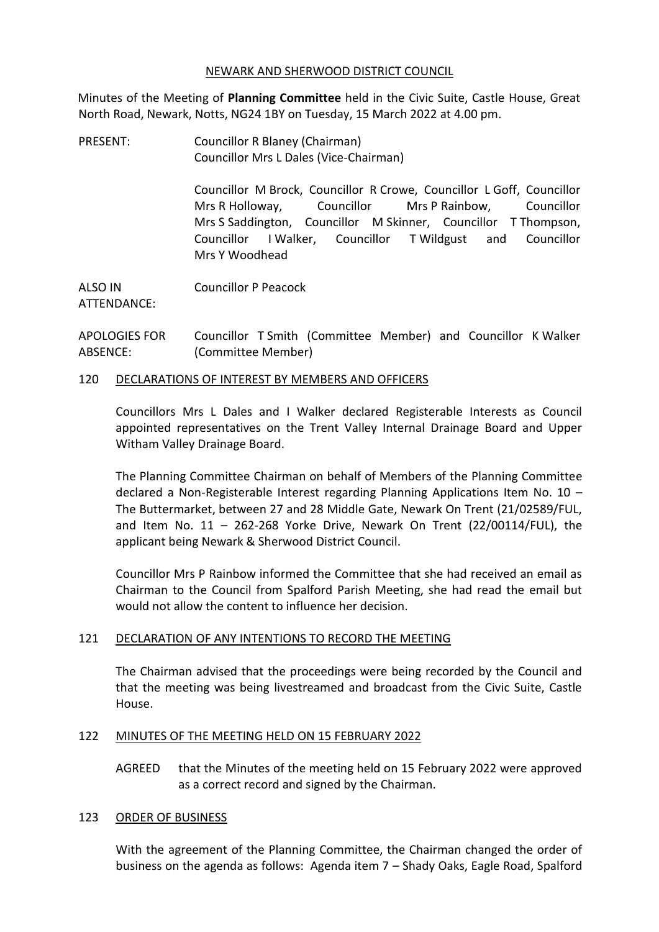### NEWARK AND SHERWOOD DISTRICT COUNCIL

Minutes of the Meeting of **Planning Committee** held in the Civic Suite, Castle House, Great North Road, Newark, Notts, NG24 1BY on Tuesday, 15 March 2022 at 4.00 pm.

PRESENT: Councillor R Blaney (Chairman) Councillor Mrs L Dales (Vice-Chairman)

> Councillor M Brock, Councillor R Crowe, Councillor L Goff, Councillor Mrs R Holloway, Councillor Mrs P Rainbow, Councillor Mrs S Saddington, Councillor M Skinner, Councillor T Thompson, Councillor I Walker, Councillor T Wildgust and Councillor Mrs Y Woodhead

ALSO IN ATTENDANCE: Councillor P Peacock

APOLOGIES FOR ABSENCE: Councillor T Smith (Committee Member) and Councillor K Walker (Committee Member)

## 120 DECLARATIONS OF INTEREST BY MEMBERS AND OFFICERS

Councillors Mrs L Dales and I Walker declared Registerable Interests as Council appointed representatives on the Trent Valley Internal Drainage Board and Upper Witham Valley Drainage Board.

The Planning Committee Chairman on behalf of Members of the Planning Committee declared a Non-Registerable Interest regarding Planning Applications Item No. 10 – The Buttermarket, between 27 and 28 Middle Gate, Newark On Trent (21/02589/FUL, and Item No.  $11 - 262-268$  Yorke Drive, Newark On Trent  $(22/00114/FUL)$ , the applicant being Newark & Sherwood District Council.

Councillor Mrs P Rainbow informed the Committee that she had received an email as Chairman to the Council from Spalford Parish Meeting, she had read the email but would not allow the content to influence her decision.

## 121 DECLARATION OF ANY INTENTIONS TO RECORD THE MEETING

The Chairman advised that the proceedings were being recorded by the Council and that the meeting was being livestreamed and broadcast from the Civic Suite, Castle House.

## 122 MINUTES OF THE MEETING HELD ON 15 FEBRUARY 2022

AGREED that the Minutes of the meeting held on 15 February 2022 were approved as a correct record and signed by the Chairman.

## 123 ORDER OF BUSINESS

With the agreement of the Planning Committee, the Chairman changed the order of business on the agenda as follows: Agenda item 7 – Shady Oaks, Eagle Road, Spalford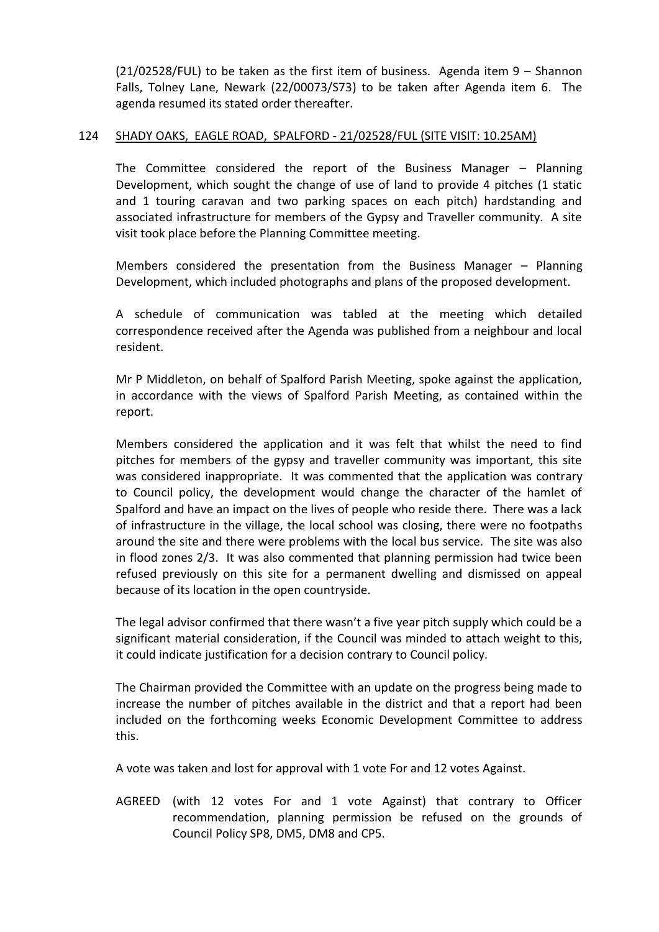(21/02528/FUL) to be taken as the first item of business. Agenda item 9 – Shannon Falls, Tolney Lane, Newark (22/00073/S73) to be taken after Agenda item 6. The agenda resumed its stated order thereafter.

### 124 SHADY OAKS, EAGLE ROAD, SPALFORD - 21/02528/FUL (SITE VISIT: 10.25AM)

The Committee considered the report of the Business Manager – Planning Development, which sought the change of use of land to provide 4 pitches (1 static and 1 touring caravan and two parking spaces on each pitch) hardstanding and associated infrastructure for members of the Gypsy and Traveller community. A site visit took place before the Planning Committee meeting.

Members considered the presentation from the Business Manager – Planning Development, which included photographs and plans of the proposed development.

A schedule of communication was tabled at the meeting which detailed correspondence received after the Agenda was published from a neighbour and local resident.

Mr P Middleton, on behalf of Spalford Parish Meeting, spoke against the application, in accordance with the views of Spalford Parish Meeting, as contained within the report.

Members considered the application and it was felt that whilst the need to find pitches for members of the gypsy and traveller community was important, this site was considered inappropriate. It was commented that the application was contrary to Council policy, the development would change the character of the hamlet of Spalford and have an impact on the lives of people who reside there. There was a lack of infrastructure in the village, the local school was closing, there were no footpaths around the site and there were problems with the local bus service. The site was also in flood zones 2/3. It was also commented that planning permission had twice been refused previously on this site for a permanent dwelling and dismissed on appeal because of its location in the open countryside.

The legal advisor confirmed that there wasn't a five year pitch supply which could be a significant material consideration, if the Council was minded to attach weight to this, it could indicate justification for a decision contrary to Council policy.

The Chairman provided the Committee with an update on the progress being made to increase the number of pitches available in the district and that a report had been included on the forthcoming weeks Economic Development Committee to address this.

A vote was taken and lost for approval with 1 vote For and 12 votes Against.

AGREED (with 12 votes For and 1 vote Against) that contrary to Officer recommendation, planning permission be refused on the grounds of Council Policy SP8, DM5, DM8 and CP5.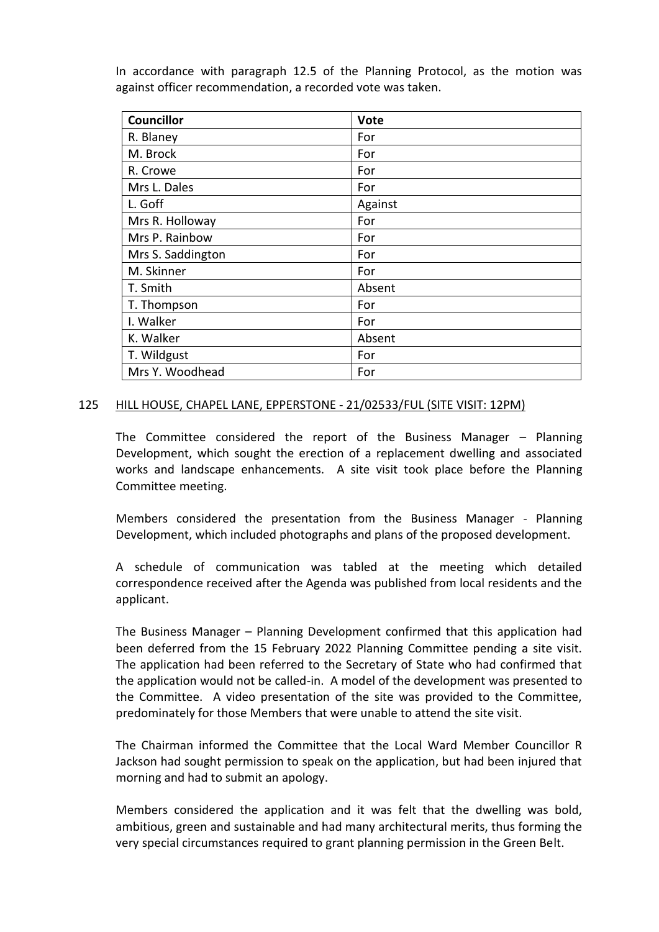In accordance with paragraph 12.5 of the Planning Protocol, as the motion was against officer recommendation, a recorded vote was taken.

| <b>Councillor</b> | <b>Vote</b> |
|-------------------|-------------|
| R. Blaney         | For         |
| M. Brock          | For         |
| R. Crowe          | For         |
| Mrs L. Dales      | For         |
| L. Goff           | Against     |
| Mrs R. Holloway   | For         |
| Mrs P. Rainbow    | For         |
| Mrs S. Saddington | For         |
| M. Skinner        | For         |
| T. Smith          | Absent      |
| T. Thompson       | For         |
| I. Walker         | For         |
| K. Walker         | Absent      |
| T. Wildgust       | For         |
| Mrs Y. Woodhead   | For         |

### 125 HILL HOUSE, CHAPEL LANE, EPPERSTONE - 21/02533/FUL (SITE VISIT: 12PM)

The Committee considered the report of the Business Manager – Planning Development, which sought the erection of a replacement dwelling and associated works and landscape enhancements. A site visit took place before the Planning Committee meeting.

Members considered the presentation from the Business Manager - Planning Development, which included photographs and plans of the proposed development.

A schedule of communication was tabled at the meeting which detailed correspondence received after the Agenda was published from local residents and the applicant.

The Business Manager – Planning Development confirmed that this application had been deferred from the 15 February 2022 Planning Committee pending a site visit. The application had been referred to the Secretary of State who had confirmed that the application would not be called-in. A model of the development was presented to the Committee. A video presentation of the site was provided to the Committee, predominately for those Members that were unable to attend the site visit.

The Chairman informed the Committee that the Local Ward Member Councillor R Jackson had sought permission to speak on the application, but had been injured that morning and had to submit an apology.

Members considered the application and it was felt that the dwelling was bold, ambitious, green and sustainable and had many architectural merits, thus forming the very special circumstances required to grant planning permission in the Green Belt.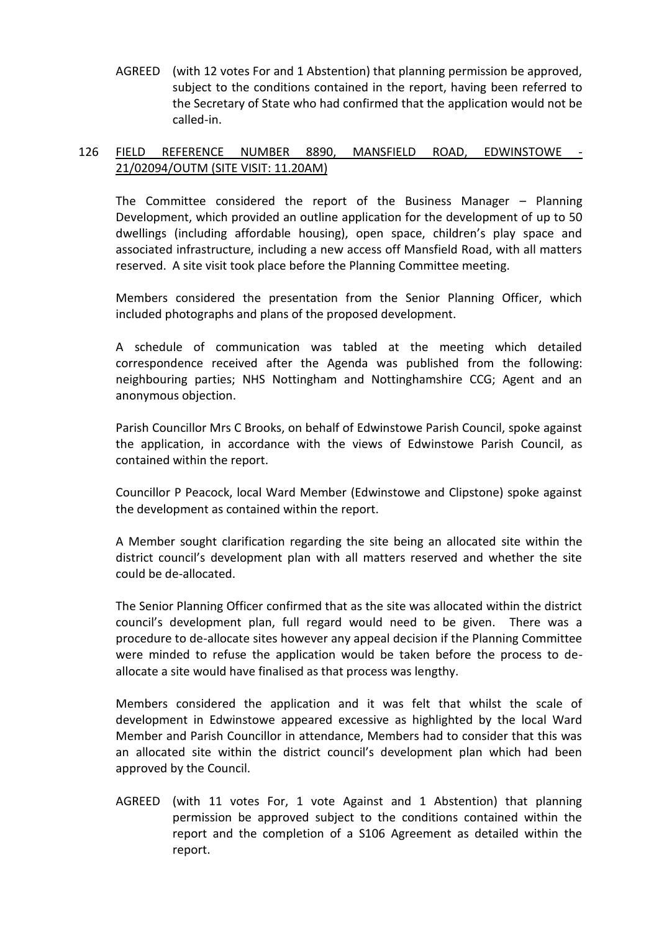AGREED (with 12 votes For and 1 Abstention) that planning permission be approved, subject to the conditions contained in the report, having been referred to the Secretary of State who had confirmed that the application would not be called-in.

# 126 FIELD REFERENCE NUMBER 8890, MANSFIELD ROAD, EDWINSTOWE - 21/02094/OUTM (SITE VISIT: 11.20AM)

The Committee considered the report of the Business Manager – Planning Development, which provided an outline application for the development of up to 50 dwellings (including affordable housing), open space, children's play space and associated infrastructure, including a new access off Mansfield Road, with all matters reserved. A site visit took place before the Planning Committee meeting.

Members considered the presentation from the Senior Planning Officer, which included photographs and plans of the proposed development.

A schedule of communication was tabled at the meeting which detailed correspondence received after the Agenda was published from the following: neighbouring parties; NHS Nottingham and Nottinghamshire CCG; Agent and an anonymous objection.

Parish Councillor Mrs C Brooks, on behalf of Edwinstowe Parish Council, spoke against the application, in accordance with the views of Edwinstowe Parish Council, as contained within the report.

Councillor P Peacock, local Ward Member (Edwinstowe and Clipstone) spoke against the development as contained within the report.

A Member sought clarification regarding the site being an allocated site within the district council's development plan with all matters reserved and whether the site could be de-allocated.

The Senior Planning Officer confirmed that as the site was allocated within the district council's development plan, full regard would need to be given. There was a procedure to de-allocate sites however any appeal decision if the Planning Committee were minded to refuse the application would be taken before the process to deallocate a site would have finalised as that process was lengthy.

Members considered the application and it was felt that whilst the scale of development in Edwinstowe appeared excessive as highlighted by the local Ward Member and Parish Councillor in attendance, Members had to consider that this was an allocated site within the district council's development plan which had been approved by the Council.

AGREED (with 11 votes For, 1 vote Against and 1 Abstention) that planning permission be approved subject to the conditions contained within the report and the completion of a S106 Agreement as detailed within the report.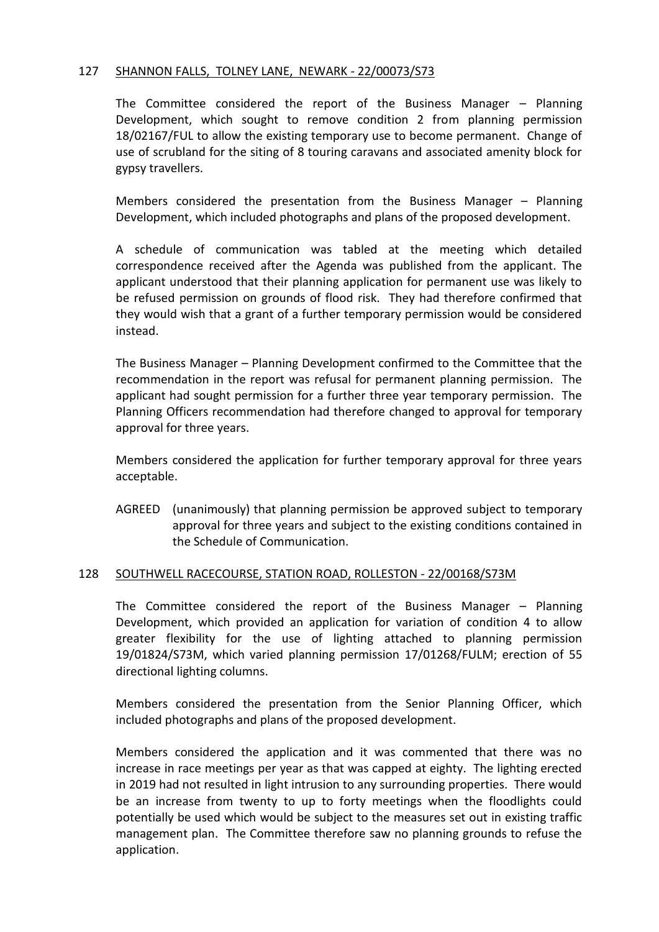## 127 SHANNON FALLS, TOLNEY LANE, NEWARK - 22/00073/S73

The Committee considered the report of the Business Manager – Planning Development, which sought to remove condition 2 from planning permission 18/02167/FUL to allow the existing temporary use to become permanent. Change of use of scrubland for the siting of 8 touring caravans and associated amenity block for gypsy travellers.

Members considered the presentation from the Business Manager – Planning Development, which included photographs and plans of the proposed development.

A schedule of communication was tabled at the meeting which detailed correspondence received after the Agenda was published from the applicant. The applicant understood that their planning application for permanent use was likely to be refused permission on grounds of flood risk. They had therefore confirmed that they would wish that a grant of a further temporary permission would be considered instead.

The Business Manager – Planning Development confirmed to the Committee that the recommendation in the report was refusal for permanent planning permission. The applicant had sought permission for a further three year temporary permission. The Planning Officers recommendation had therefore changed to approval for temporary approval for three years.

Members considered the application for further temporary approval for three years acceptable.

AGREED (unanimously) that planning permission be approved subject to temporary approval for three years and subject to the existing conditions contained in the Schedule of Communication.

## 128 SOUTHWELL RACECOURSE, STATION ROAD, ROLLESTON - 22/00168/S73M

The Committee considered the report of the Business Manager – Planning Development, which provided an application for variation of condition 4 to allow greater flexibility for the use of lighting attached to planning permission 19/01824/S73M, which varied planning permission 17/01268/FULM; erection of 55 directional lighting columns.

Members considered the presentation from the Senior Planning Officer, which included photographs and plans of the proposed development.

Members considered the application and it was commented that there was no increase in race meetings per year as that was capped at eighty. The lighting erected in 2019 had not resulted in light intrusion to any surrounding properties. There would be an increase from twenty to up to forty meetings when the floodlights could potentially be used which would be subject to the measures set out in existing traffic management plan. The Committee therefore saw no planning grounds to refuse the application.